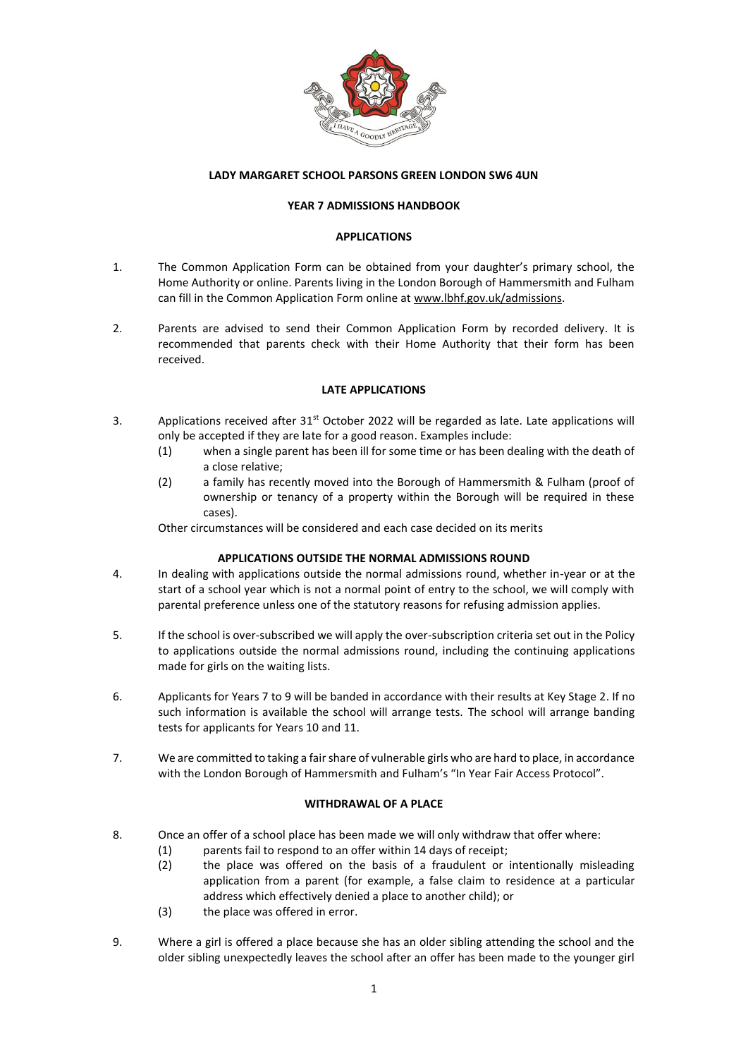

## **LADY MARGARET SCHOOL PARSONS GREEN LONDON SW6 4UN**

#### **YEAR 7 ADMISSIONS HANDBOOK**

#### **APPLICATIONS**

- 1. The Common Application Form can be obtained from your daughter's primary school, the Home Authority or online. Parents living in the London Borough of Hammersmith and Fulham can fill in the Common Application Form online a[t www.lbhf.gov.uk/admissions.](http://www.lbhf.gov.uk/admissions)
- 2. Parents are advised to send their Common Application Form by recorded delivery. It is recommended that parents check with their Home Authority that their form has been received.

#### **LATE APPLICATIONS**

- 3. Applications received after 31<sup>st</sup> October 2022 will be regarded as late. Late applications will only be accepted if they are late for a good reason. Examples include:
	- (1) when a single parent has been ill for some time or has been dealing with the death of a close relative;
	- (2) a family has recently moved into the Borough of Hammersmith & Fulham (proof of ownership or tenancy of a property within the Borough will be required in these cases).

Other circumstances will be considered and each case decided on its merits

## **APPLICATIONS OUTSIDE THE NORMAL ADMISSIONS ROUND**

- 4. In dealing with applications outside the normal admissions round, whether in-year or at the start of a school year which is not a normal point of entry to the school, we will comply with parental preference unless one of the statutory reasons for refusing admission applies.
- 5. If the school is over-subscribed we will apply the over-subscription criteria set out in the Policy to applications outside the normal admissions round, including the continuing applications made for girls on the waiting lists.
- 6. Applicants for Years 7 to 9 will be banded in accordance with their results at Key Stage 2. If no such information is available the school will arrange tests. The school will arrange banding tests for applicants for Years 10 and 11.
- 7. We are committed to taking a fair share of vulnerable girls who are hard to place, in accordance with the London Borough of Hammersmith and Fulham's "In Year Fair Access Protocol".

## **WITHDRAWAL OF A PLACE**

- 8. Once an offer of a school place has been made we will only withdraw that offer where:
	- (1) parents fail to respond to an offer within 14 days of receipt;
		- (2) the place was offered on the basis of a fraudulent or intentionally misleading application from a parent (for example, a false claim to residence at a particular address which effectively denied a place to another child); or
		- (3) the place was offered in error.
- 9. Where a girl is offered a place because she has an older sibling attending the school and the older sibling unexpectedly leaves the school after an offer has been made to the younger girl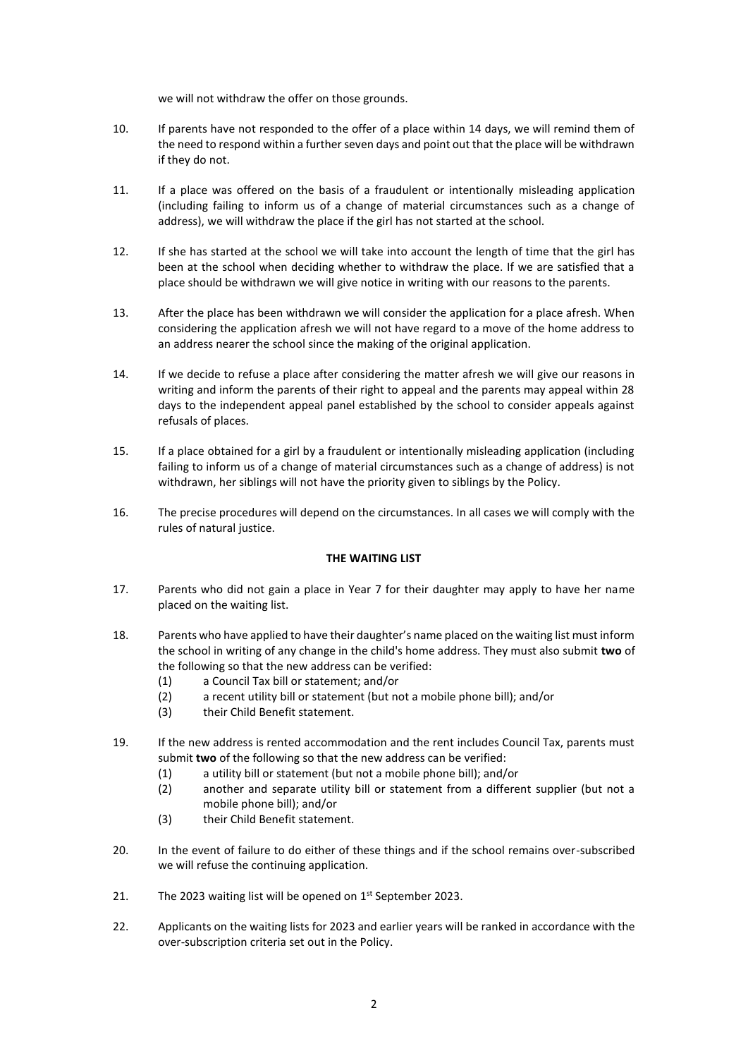we will not withdraw the offer on those grounds.

- 10. If parents have not responded to the offer of a place within 14 days, we will remind them of the need to respond within a further seven days and point out that the place will be withdrawn if they do not.
- 11. If a place was offered on the basis of a fraudulent or intentionally misleading application (including failing to inform us of a change of material circumstances such as a change of address), we will withdraw the place if the girl has not started at the school.
- 12. If she has started at the school we will take into account the length of time that the girl has been at the school when deciding whether to withdraw the place. If we are satisfied that a place should be withdrawn we will give notice in writing with our reasons to the parents.
- 13. After the place has been withdrawn we will consider the application for a place afresh. When considering the application afresh we will not have regard to a move of the home address to an address nearer the school since the making of the original application.
- 14. If we decide to refuse a place after considering the matter afresh we will give our reasons in writing and inform the parents of their right to appeal and the parents may appeal within 28 days to the independent appeal panel established by the school to consider appeals against refusals of places.
- 15. If a place obtained for a girl by a fraudulent or intentionally misleading application (including failing to inform us of a change of material circumstances such as a change of address) is not withdrawn, her siblings will not have the priority given to siblings by the Policy.
- 16. The precise procedures will depend on the circumstances. In all cases we will comply with the rules of natural justice.

## **THE WAITING LIST**

- 17. Parents who did not gain a place in Year 7 for their daughter may apply to have her name placed on the waiting list.
- 18. Parents who have applied to have their daughter's name placed on the waiting list must inform the school in writing of any change in the child's home address. They must also submit **two** of the following so that the new address can be verified:
	- (1) a Council Tax bill or statement; and/or
	- (2) a recent utility bill or statement (but not a mobile phone bill); and/or
	- (3) their Child Benefit statement.
- 19. If the new address is rented accommodation and the rent includes Council Tax, parents must submit **two** of the following so that the new address can be verified:
	- (1) a utility bill or statement (but not a mobile phone bill); and/or
	- (2) another and separate utility bill or statement from a different supplier (but not a mobile phone bill); and/or
	- (3) their Child Benefit statement.
- 20. In the event of failure to do either of these things and if the school remains over-subscribed we will refuse the continuing application.
- 21. The 2023 waiting list will be opened on  $1<sup>st</sup>$  September 2023.
- 22. Applicants on the waiting lists for 2023 and earlier years will be ranked in accordance with the over-subscription criteria set out in the Policy.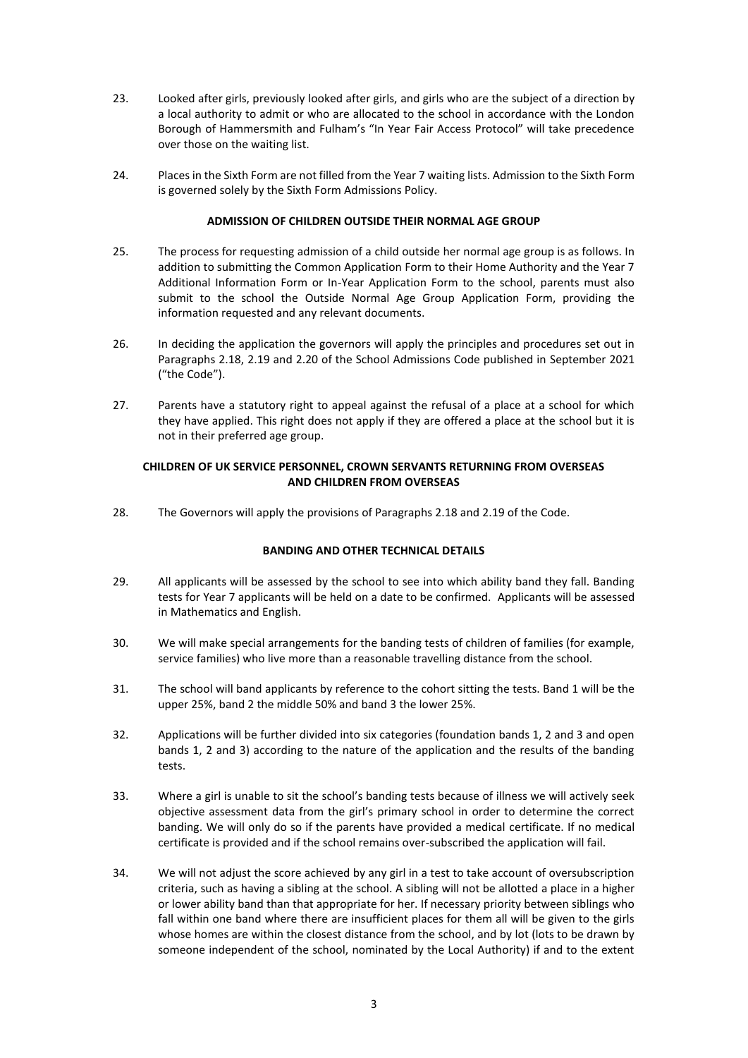- 23. Looked after girls, previously looked after girls, and girls who are the subject of a direction by a local authority to admit or who are allocated to the school in accordance with the London Borough of Hammersmith and Fulham's "In Year Fair Access Protocol" will take precedence over those on the waiting list.
- 24. Places in the Sixth Form are not filled from the Year 7 waiting lists. Admission to the Sixth Form is governed solely by the Sixth Form Admissions Policy.

## **ADMISSION OF CHILDREN OUTSIDE THEIR NORMAL AGE GROUP**

- 25. The process for requesting admission of a child outside her normal age group is as follows. In addition to submitting the Common Application Form to their Home Authority and the Year 7 Additional Information Form or In-Year Application Form to the school, parents must also submit to the school the Outside Normal Age Group Application Form, providing the information requested and any relevant documents.
- 26. In deciding the application the governors will apply the principles and procedures set out in Paragraphs 2.18, 2.19 and 2.20 of the School Admissions Code published in September 2021 ("the Code").
- 27. Parents have a statutory right to appeal against the refusal of a place at a school for which they have applied. This right does not apply if they are offered a place at the school but it is not in their preferred age group.

## **CHILDREN OF UK SERVICE PERSONNEL, CROWN SERVANTS RETURNING FROM OVERSEAS AND CHILDREN FROM OVERSEAS**

28. The Governors will apply the provisions of Paragraphs 2.18 and 2.19 of the Code.

## **BANDING AND OTHER TECHNICAL DETAILS**

- 29. All applicants will be assessed by the school to see into which ability band they fall. Banding tests for Year 7 applicants will be held on a date to be confirmed. Applicants will be assessed in Mathematics and English.
- 30. We will make special arrangements for the banding tests of children of families (for example, service families) who live more than a reasonable travelling distance from the school.
- 31. The school will band applicants by reference to the cohort sitting the tests. Band 1 will be the upper 25%, band 2 the middle 50% and band 3 the lower 25%.
- 32. Applications will be further divided into six categories (foundation bands 1, 2 and 3 and open bands 1, 2 and 3) according to the nature of the application and the results of the banding tests.
- 33. Where a girl is unable to sit the school's banding tests because of illness we will actively seek objective assessment data from the girl's primary school in order to determine the correct banding. We will only do so if the parents have provided a medical certificate. If no medical certificate is provided and if the school remains over-subscribed the application will fail.
- 34. We will not adjust the score achieved by any girl in a test to take account of oversubscription criteria, such as having a sibling at the school. A sibling will not be allotted a place in a higher or lower ability band than that appropriate for her. If necessary priority between siblings who fall within one band where there are insufficient places for them all will be given to the girls whose homes are within the closest distance from the school, and by lot (lots to be drawn by someone independent of the school, nominated by the Local Authority) if and to the extent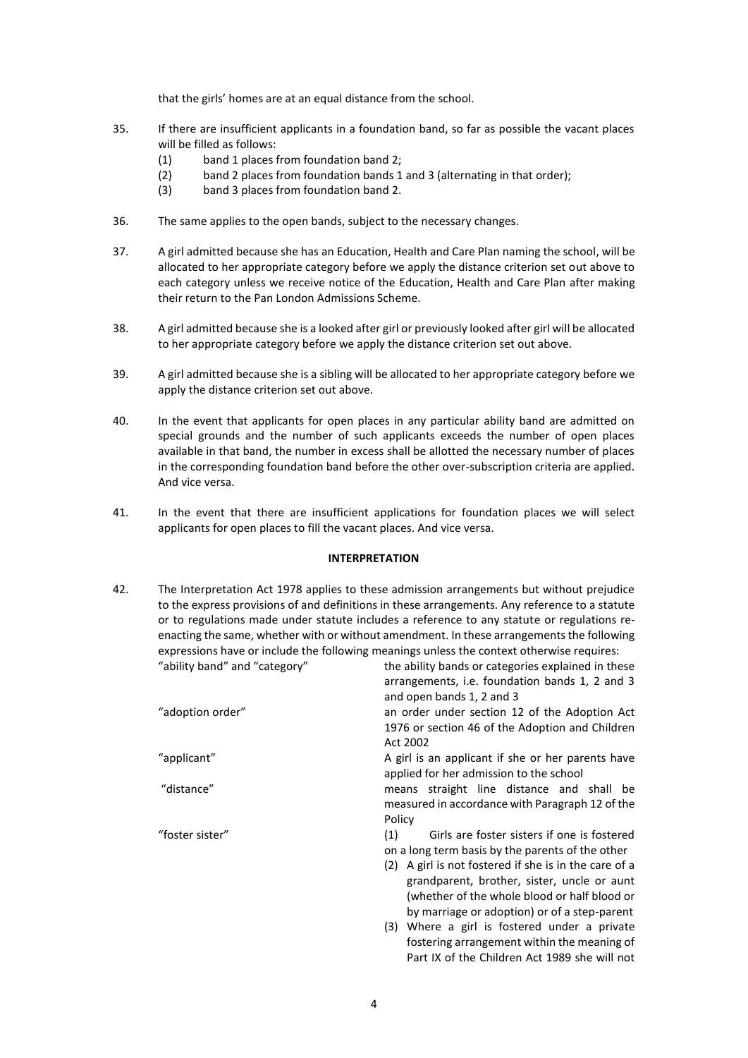that the girls' homes are at an equal distance from the school.

- 35. If there are insufficient applicants in a foundation band, so far as possible the vacant places will be filled as follows:
	- (1) band 1 places from foundation band 2;
	- (2) band 2 places from foundation bands 1 and 3 (alternating in that order);
	- (3) band 3 places from foundation band 2.
- 36. The same applies to the open bands, subject to the necessary changes.
- 37. A girl admitted because she has an Education, Health and Care Plan naming the school, will be allocated to her appropriate category before we apply the distance criterion set out above to each category unless we receive notice of the Education, Health and Care Plan after making their return to the Pan London Admissions Scheme.
- 38. A girl admitted because she is a looked after girl or previously looked after girl will be allocated to her appropriate category before we apply the distance criterion set out above.
- 39. A girl admitted because she is a sibling will be allocated to her appropriate category before we apply the distance criterion set out above.
- 40. In the event that applicants for open places in any particular ability band are admitted on special grounds and the number of such applicants exceeds the number of open places available in that band, the number in excess shall be allotted the necessary number of places in the corresponding foundation band before the other over-subscription criteria are applied. And vice versa.
- 41. In the event that there are insufficient applications for foundation places we will select applicants for open places to fill the vacant places. And vice versa.

# **INTERPRETATION**

42. The Interpretation Act 1978 applies to these admission arrangements but without prejudice to the express provisions of and definitions in these arrangements. Any reference to a statute or to regulations made under statute includes a reference to any statute or regulations reenacting the same, whether with or without amendment. In these arrangements the following expressions have or include the following meanings unless the context otherwise requires: "ability band" and "category" the ability bands or categories explained in these

|                  | arrangements, i.e. foundation bands 1, 2 and 3        |
|------------------|-------------------------------------------------------|
|                  | and open bands 1, 2 and 3                             |
| "adoption order" | an order under section 12 of the Adoption Act         |
|                  | 1976 or section 46 of the Adoption and Children       |
|                  | Act 2002                                              |
| "applicant"      | A girl is an applicant if she or her parents have     |
|                  | applied for her admission to the school               |
| "distance"       | means straight line distance and shall be             |
|                  | measured in accordance with Paragraph 12 of the       |
|                  | Policy                                                |
| "foster sister"  | Girls are foster sisters if one is fostered<br>(1)    |
|                  | on a long term basis by the parents of the other      |
|                  | (2) A girl is not fostered if she is in the care of a |
|                  | grandparent, brother, sister, uncle or aunt           |
|                  | (whether of the whole blood or half blood or          |
|                  | by marriage or adoption) or of a step-parent          |
|                  | (3) Where a girl is fostered under a private          |
|                  | fostering arrangement within the meaning of           |
|                  | Part IX of the Children Act 1989 she will not         |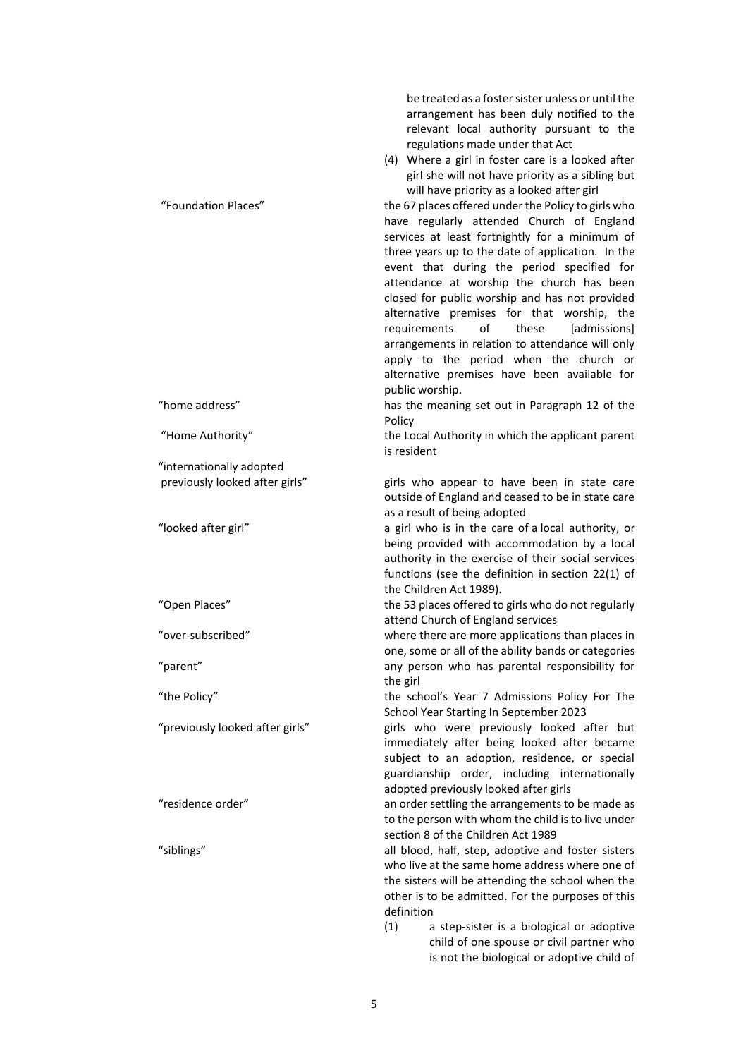be treated as a foster sister unless or until the arrangement has been duly notified to the relevant local authority pursuant to the regulations made under that Act (4) Where a girl in foster care is a looked after girl she will not have priority as a sibling but will have priority as a looked after girl "Foundation Places" the 67 places offered under the Policy to girls who have regularly attended Church of England services at least fortnightly for a minimum of three years up to the date of application. In the event that during the period specified for attendance at worship the church has been closed for public worship and has not provided alternative premises for that worship, the requirements of these [admissions] arrangements in relation to attendance will only apply to the period when the church or alternative premises have been available for public worship. "home address" has the meaning set out in Paragraph 12 of the Policy "Home Authority" the Local Authority in which the applicant parent is resident "internationally adopted previously looked after girls" girls who appear to have been in state care outside of England and ceased to be in state care as a result of being adopted "looked after girl" a girl who is in the care of a local authority, or being provided with accommodation by a local authority in the exercise of their social services functions (see the definition in section 22(1) of the Children Act 1989). "Open Places" the 53 places offered to girls who do not regularly attend Church of England services "over-subscribed" where there are more applications than places in one, some or all of the ability bands or categories "parent" any person who has parental responsibility for the girl "the Policy" the school's Year 7 Admissions Policy For The School Year Starting In September 2023 "previously looked after girls" girls who were previously looked after but immediately after being looked after became subject to an adoption, residence, or special guardianship order, including internationally adopted previously looked after girls "residence order" an order settling the arrangements to be made as to the person with whom the child is to live under section 8 of the Children Act 1989 "siblings" all blood, half, step, adoptive and foster sisters who live at the same home address where one of the sisters will be attending the school when the other is to be admitted. For the purposes of this definition

> (1) a step-sister is a biological or adoptive child of one spouse or civil partner who is not the biological or adoptive child of